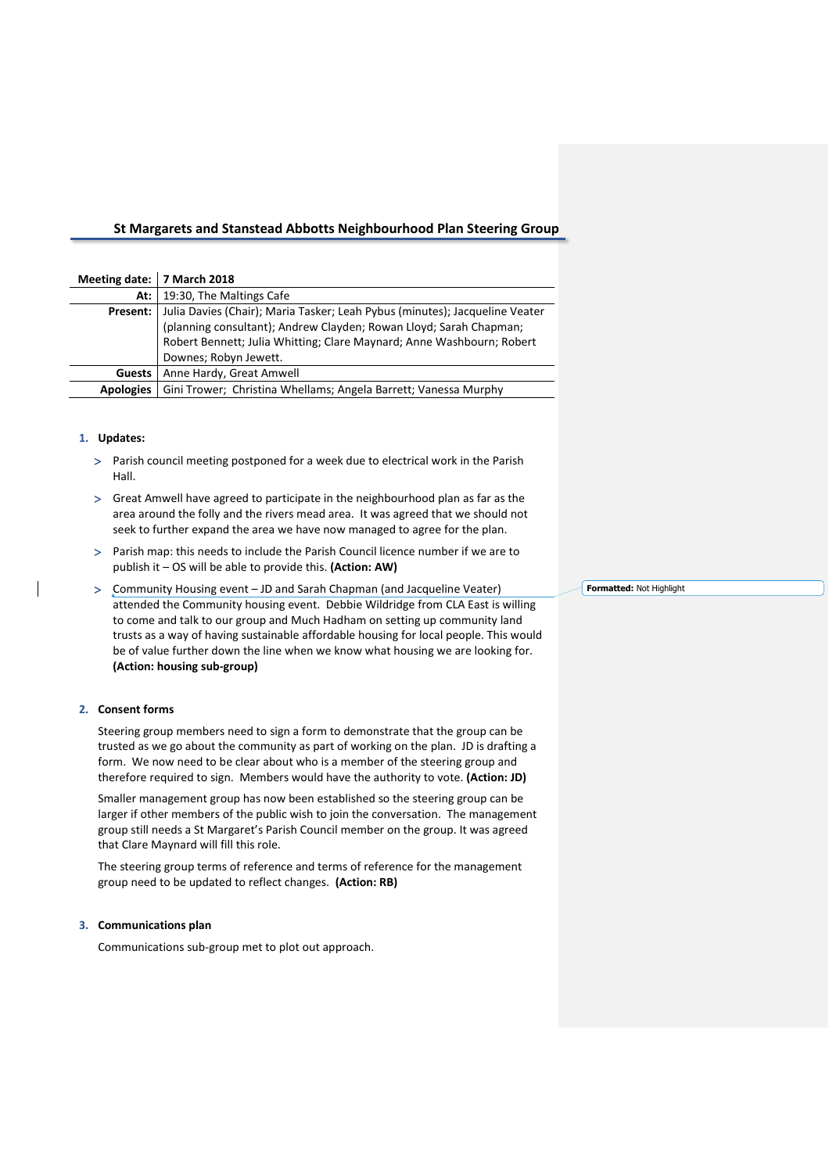# **St Margarets and Stanstead Abbotts Neighbourhood Plan Steering Group**

| Meeting date: 7 March 2018 |                                                                             |
|----------------------------|-----------------------------------------------------------------------------|
| At: I                      | 19:30, The Maltings Cafe                                                    |
| Present:                   | Julia Davies (Chair); Maria Tasker; Leah Pybus (minutes); Jacqueline Veater |
|                            | (planning consultant); Andrew Clayden; Rowan Lloyd; Sarah Chapman;          |
|                            | Robert Bennett; Julia Whitting; Clare Maynard; Anne Washbourn; Robert       |
|                            | Downes; Robyn Jewett.                                                       |
| <b>Guests</b>              | Anne Hardy, Great Amwell                                                    |
| <b>Apologies</b>           | Gini Trower; Christina Whellams; Angela Barrett; Vanessa Murphy             |

## **1. Updates:**

- Parish council meeting postponed for a week due to electrical work in the Parish Hall.
- Great Amwell have agreed to participate in the neighbourhood plan as far as the area around the folly and the rivers mead area. It was agreed that we should not seek to further expand the area we have now managed to agree for the plan.
- Parish map: this needs to include the Parish Council licence number if we are to publish it – OS will be able to provide this. **(Action: AW)**
- Community Housing event JD and Sarah Chapman (and Jacqueline Veater) attended the Community housing event. Debbie Wildridge from CLA East is willing to come and talk to our group and Much Hadham on setting up community land trusts as a way of having sustainable affordable housing for local people. This would be of value further down the line when we know what housing we are looking for. **(Action: housing sub-group)**

# **2. Consent forms**

Steering group members need to sign a form to demonstrate that the group can be trusted as we go about the community as part of working on the plan. JD is drafting a form. We now need to be clear about who is a member of the steering group and therefore required to sign. Members would have the authority to vote. **(Action: JD)**

Smaller management group has now been established so the steering group can be larger if other members of the public wish to join the conversation. The management group still needs a St Margaret's Parish Council member on the group. It was agreed that Clare Maynard will fill this role.

The steering group terms of reference and terms of reference for the management group need to be updated to reflect changes. **(Action: RB)**

### **3. Communications plan**

Communications sub-group met to plot out approach.

**Formatted:** Not Highlight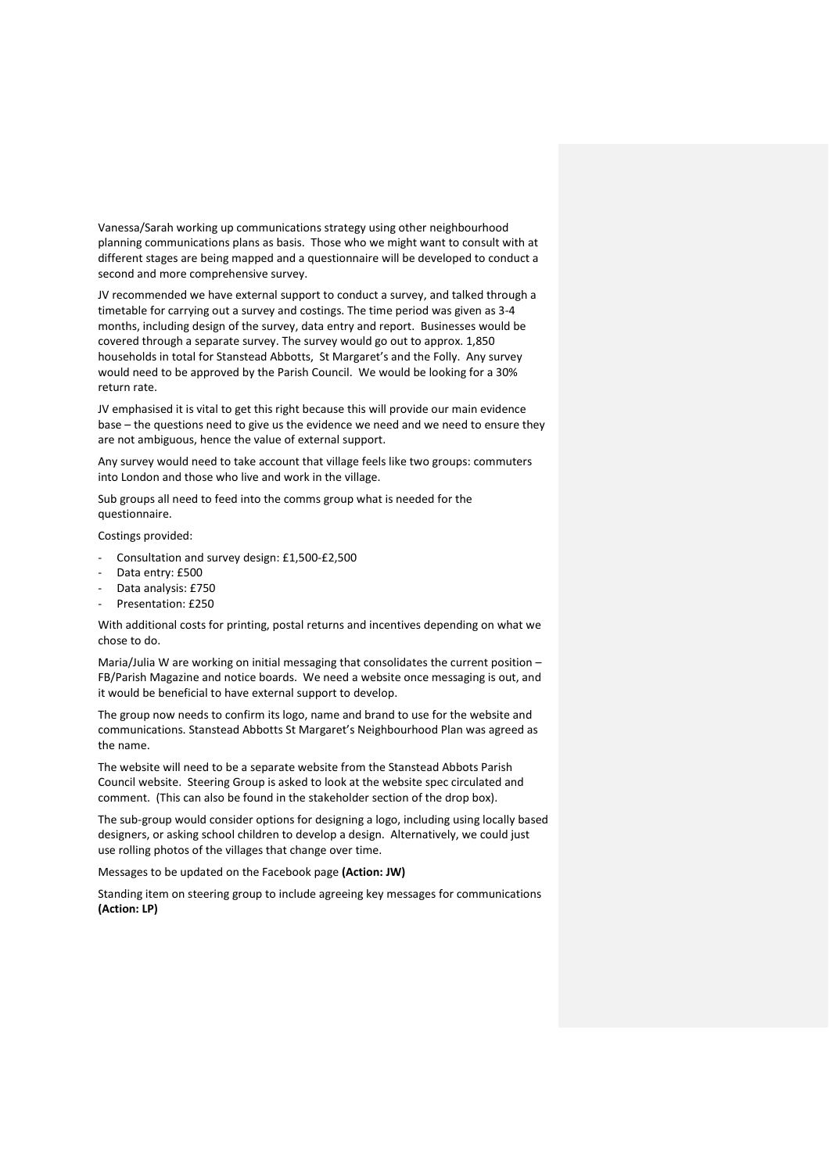Vanessa/Sarah working up communications strategy using other neighbourhood planning communications plans as basis. Those who we might want to consult with at different stages are being mapped and a questionnaire will be developed to conduct a second and more comprehensive survey.

JV recommended we have external support to conduct a survey, and talked through a timetable for carrying out a survey and costings. The time period was given as 3-4 months, including design of the survey, data entry and report. Businesses would be covered through a separate survey. The survey would go out to approx. 1,850 households in total for Stanstead Abbotts, St Margaret's and the Folly. Any survey would need to be approved by the Parish Council. We would be looking for a 30% return rate.

JV emphasised it is vital to get this right because this will provide our main evidence base – the questions need to give us the evidence we need and we need to ensure they are not ambiguous, hence the value of external support.

Any survey would need to take account that village feels like two groups: commuters into London and those who live and work in the village.

Sub groups all need to feed into the comms group what is needed for the questionnaire.

Costings provided:

- Consultation and survey design: £1,500-£2,500
- Data entry: £500
- Data analysis: £750
- Presentation: £250

With additional costs for printing, postal returns and incentives depending on what we chose to do.

Maria/Julia W are working on initial messaging that consolidates the current position – FB/Parish Magazine and notice boards. We need a website once messaging is out, and it would be beneficial to have external support to develop.

The group now needs to confirm its logo, name and brand to use for the website and communications. Stanstead Abbotts St Margaret's Neighbourhood Plan was agreed as the name.

The website will need to be a separate website from the Stanstead Abbots Parish Council website. Steering Group is asked to look at the website spec circulated and comment. (This can also be found in the stakeholder section of the drop box).

The sub-group would consider options for designing a logo, including using locally based designers, or asking school children to develop a design. Alternatively, we could just use rolling photos of the villages that change over time.

Messages to be updated on the Facebook page **(Action: JW)**

Standing item on steering group to include agreeing key messages for communications **(Action: LP)**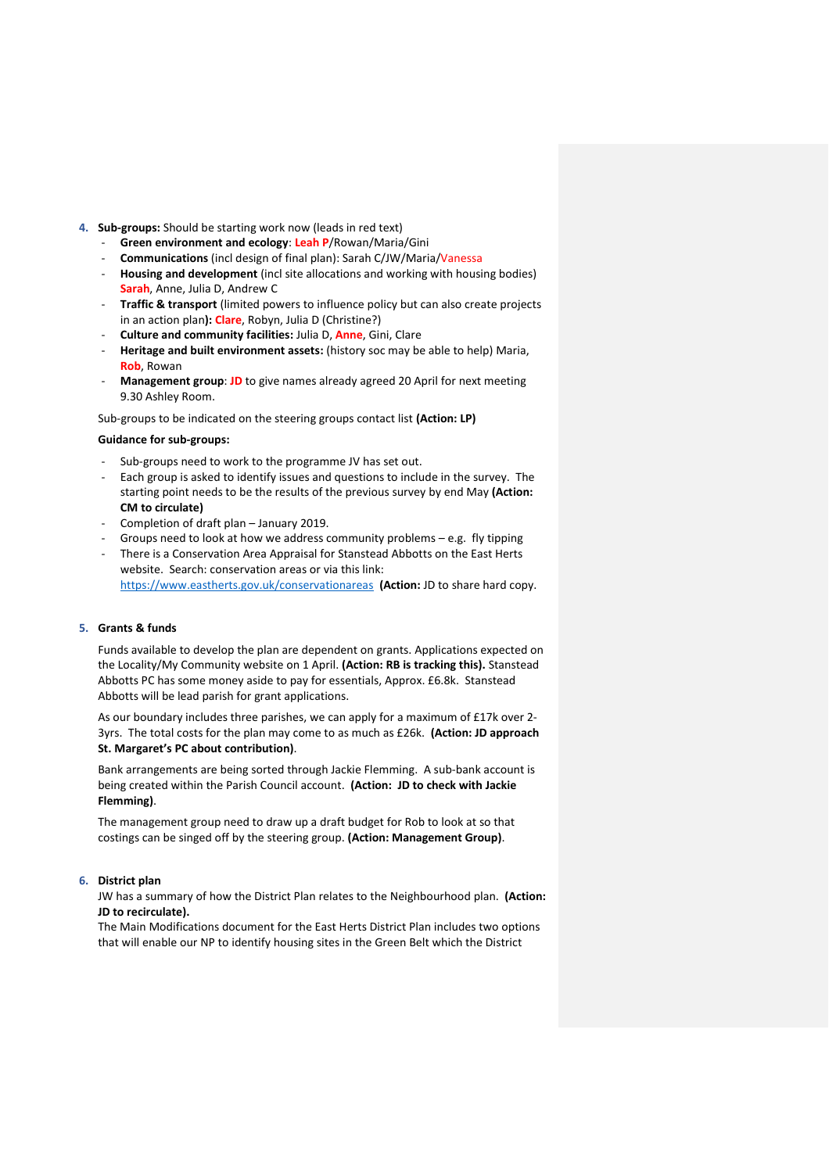### **4. Sub-groups:** Should be starting work now (leads in red text)

- **Green environment and ecology**: **Leah P**/Rowan/Maria/Gini
- **Communications** (incl design of final plan): Sarah C/JW/Maria/Vanessa
- **Housing and development** (incl site allocations and working with housing bodies) **Sarah**, Anne, Julia D, Andrew C
- **Traffic & transport** (limited powers to influence policy but can also create projects in an action plan**): Clare**, Robyn, Julia D (Christine?)
- **Culture and community facilities:** Julia D, **Anne**, Gini, Clare
- **Heritage and built environment assets:** (history soc may be able to help) Maria, **Rob**, Rowan
- **Management group: JD** to give names already agreed 20 April for next meeting 9.30 Ashley Room.

Sub-groups to be indicated on the steering groups contact list **(Action: LP)**

#### **Guidance for sub-groups:**

- Sub-groups need to work to the programme JV has set out.
- Each group is asked to identify issues and questions to include in the survey. The starting point needs to be the results of the previous survey by end May **(Action: CM to circulate)**
- Completion of draft plan January 2019.
- Groups need to look at how we address community problems  $-$  e.g. fly tipping
- There is a Conservation Area Appraisal for Stanstead Abbotts on the East Herts website. Search: conservation areas or via this link:
- <https://www.eastherts.gov.uk/conservationareas>**(Action:** JD to share hard copy.

#### **5. Grants & funds**

Funds available to develop the plan are dependent on grants. Applications expected on the Locality/My Community website on 1 April. **(Action: RB is tracking this).** Stanstead Abbotts PC has some money aside to pay for essentials, Approx. £6.8k. Stanstead Abbotts will be lead parish for grant applications.

As our boundary includes three parishes, we can apply for a maximum of £17k over 2- 3yrs. The total costs for the plan may come to as much as £26k. **(Action: JD approach St. Margaret's PC about contribution)**.

Bank arrangements are being sorted through Jackie Flemming. A sub-bank account is being created within the Parish Council account. **(Action: JD to check with Jackie Flemming)**.

The management group need to draw up a draft budget for Rob to look at so that costings can be singed off by the steering group. **(Action: Management Group)**.

# **6. District plan**

JW has a summary of how the District Plan relates to the Neighbourhood plan. **(Action: JD to recirculate).** 

The Main Modifications document for the East Herts District Plan includes two options that will enable our NP to identify housing sites in the Green Belt which the District